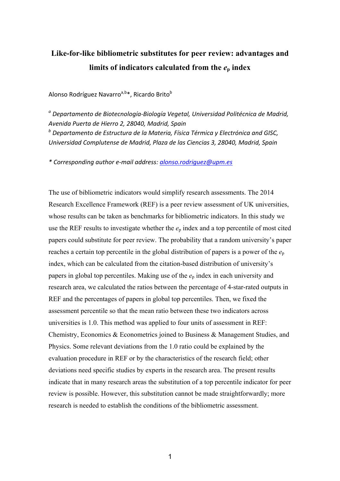# **Like-for-like bibliometric substitutes for peer review: advantages and**  limits of indicators calculated from the  $e_p$  index

## Alonso Rodríguez Navarro<sup>a,b\*</sup>, Ricardo Brito<sup>b</sup>

<sup>a</sup> Departamento de Biotecnología-Biología Vegetal, Universidad Politécnica de Madrid, *Avenida Puerta de Hierro 2, 28040, Madrid, Spain* <sup>*b*</sup> Departamento de Estructura de la Materia, Física Térmica y Electrónica and GISC, *Universidad Complutense de Madrid, Plaza de las Ciencias 3, 28040, Madrid, Spain*

*\* Corresponding author e-mail address: alonso.rodriguez@upm.es*

The use of bibliometric indicators would simplify research assessments. The 2014 Research Excellence Framework (REF) is a peer review assessment of UK universities, whose results can be taken as benchmarks for bibliometric indicators. In this study we use the REF results to investigate whether the  $e_p$  index and a top percentile of most cited papers could substitute for peer review. The probability that a random university's paper reaches a certain top percentile in the global distribution of papers is a power of the *e*<sup>p</sup> index, which can be calculated from the citation-based distribution of university's papers in global top percentiles. Making use of the *e*<sup>p</sup> index in each university and research area, we calculated the ratios between the percentage of 4-star-rated outputs in REF and the percentages of papers in global top percentiles. Then, we fixed the assessment percentile so that the mean ratio between these two indicators across universities is 1.0. This method was applied to four units of assessment in REF: Chemistry, Economics & Econometrics joined to Business & Management Studies, and Physics. Some relevant deviations from the 1.0 ratio could be explained by the evaluation procedure in REF or by the characteristics of the research field; other deviations need specific studies by experts in the research area. The present results indicate that in many research areas the substitution of a top percentile indicator for peer review is possible. However, this substitution cannot be made straightforwardly; more research is needed to establish the conditions of the bibliometric assessment.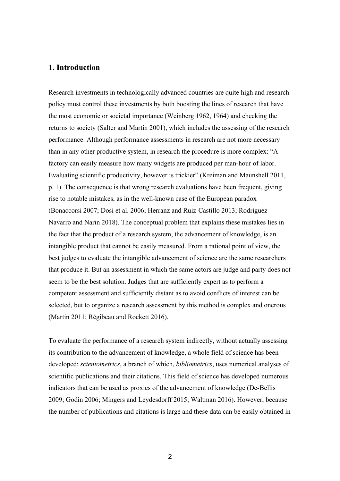## **1. Introduction**

Research investments in technologically advanced countries are quite high and research policy must control these investments by both boosting the lines of research that have the most economic or societal importance (Weinberg 1962, 1964) and checking the returns to society (Salter and Martin 2001), which includes the assessing of the research performance. Although performance assessments in research are not more necessary than in any other productive system, in research the procedure is more complex: "A factory can easily measure how many widgets are produced per man-hour of labor. Evaluating scientific productivity, however is trickier" (Kreiman and Maunshell 2011, p. 1). The consequence is that wrong research evaluations have been frequent, giving rise to notable mistakes, as in the well-known case of the European paradox (Bonaccorsi 2007; Dosi et al. 2006; Herranz and Ruiz-Castillo 2013; Rodriguez-Navarro and Narin 2018). The conceptual problem that explains these mistakes lies in the fact that the product of a research system, the advancement of knowledge, is an intangible product that cannot be easily measured. From a rational point of view, the best judges to evaluate the intangible advancement of science are the same researchers that produce it. But an assessment in which the same actors are judge and party does not seem to be the best solution. Judges that are sufficiently expert as to perform a competent assessment and sufficiently distant as to avoid conflicts of interest can be selected, but to organize a research assessment by this method is complex and onerous (Martin 2011; Régibeau and Rockett 2016).

To evaluate the performance of a research system indirectly, without actually assessing its contribution to the advancement of knowledge, a whole field of science has been developed: *scientometrics*, a branch of which, *bibliometrics*, uses numerical analyses of scientific publications and their citations. This field of science has developed numerous indicators that can be used as proxies of the advancement of knowledge (De-Bellis 2009; Godin 2006; Mingers and Leydesdorff 2015; Waltman 2016). However, because the number of publications and citations is large and these data can be easily obtained in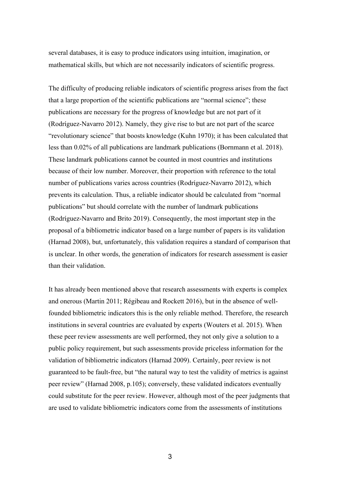several databases, it is easy to produce indicators using intuition, imagination, or mathematical skills, but which are not necessarily indicators of scientific progress.

The difficulty of producing reliable indicators of scientific progress arises from the fact that a large proportion of the scientific publications are "normal science"; these publications are necessary for the progress of knowledge but are not part of it (Rodríguez-Navarro 2012). Namely, they give rise to but are not part of the scarce "revolutionary science" that boosts knowledge (Kuhn 1970); it has been calculated that less than 0.02% of all publications are landmark publications (Bornmann et al. 2018). These landmark publications cannot be counted in most countries and institutions because of their low number. Moreover, their proportion with reference to the total number of publications varies across countries (Rodríguez-Navarro 2012), which prevents its calculation. Thus, a reliable indicator should be calculated from "normal publications" but should correlate with the number of landmark publications (Rodríguez-Navarro and Brito 2019). Consequently, the most important step in the proposal of a bibliometric indicator based on a large number of papers is its validation (Harnad 2008), but, unfortunately, this validation requires a standard of comparison that is unclear. In other words, the generation of indicators for research assessment is easier than their validation.

It has already been mentioned above that research assessments with experts is complex and onerous (Martin 2011; Régibeau and Rockett 2016), but in the absence of wellfounded bibliometric indicators this is the only reliable method. Therefore, the research institutions in several countries are evaluated by experts (Wouters et al. 2015). When these peer review assessments are well performed, they not only give a solution to a public policy requirement, but such assessments provide priceless information for the validation of bibliometric indicators (Harnad 2009). Certainly, peer review is not guaranteed to be fault-free, but "the natural way to test the validity of metrics is against peer review" (Harnad 2008, p.105); conversely, these validated indicators eventually could substitute for the peer review. However, although most of the peer judgments that are used to validate bibliometric indicators come from the assessments of institutions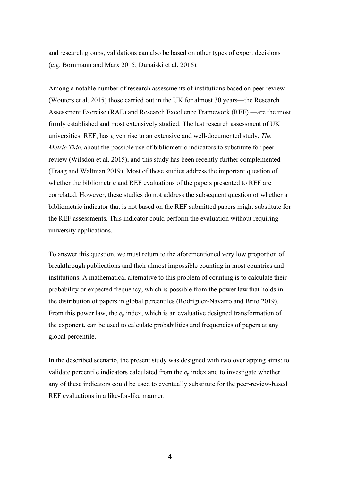and research groups, validations can also be based on other types of expert decisions (e.g. Bornmann and Marx 2015; Dunaiski et al. 2016).

Among a notable number of research assessments of institutions based on peer review (Wouters et al. 2015) those carried out in the UK for almost 30 years—the Research Assessment Exercise (RAE) and Research Excellence Framework (REF) —are the most firmly established and most extensively studied. The last research assessment of UK universities, REF, has given rise to an extensive and well-documented study, *The Metric Tide*, about the possible use of bibliometric indicators to substitute for peer review (Wilsdon et al. 2015), and this study has been recently further complemented (Traag and Waltman 2019). Most of these studies address the important question of whether the bibliometric and REF evaluations of the papers presented to REF are correlated. However, these studies do not address the subsequent question of whether a bibliometric indicator that is not based on the REF submitted papers might substitute for the REF assessments. This indicator could perform the evaluation without requiring university applications.

To answer this question, we must return to the aforementioned very low proportion of breakthrough publications and their almost impossible counting in most countries and institutions. A mathematical alternative to this problem of counting is to calculate their probability or expected frequency, which is possible from the power law that holds in the distribution of papers in global percentiles (Rodríguez-Navarro and Brito 2019). From this power law, the  $e_p$  index, which is an evaluative designed transformation of the exponent, can be used to calculate probabilities and frequencies of papers at any global percentile.

In the described scenario, the present study was designed with two overlapping aims: to validate percentile indicators calculated from the  $e<sub>p</sub>$  index and to investigate whether any of these indicators could be used to eventually substitute for the peer-review-based REF evaluations in a like-for-like manner.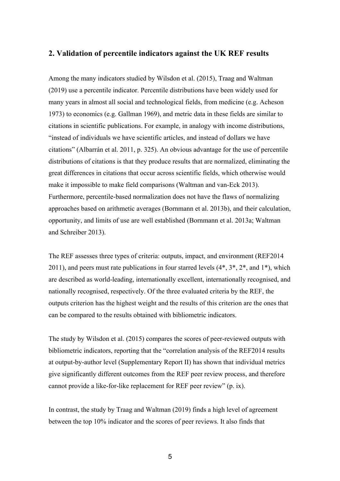## **2. Validation of percentile indicators against the UK REF results**

Among the many indicators studied by Wilsdon et al. (2015), Traag and Waltman (2019) use a percentile indicator. Percentile distributions have been widely used for many years in almost all social and technological fields, from medicine (e.g. Acheson 1973) to economics (e.g. Gallman 1969), and metric data in these fields are similar to citations in scientific publications. For example, in analogy with income distributions, "instead of individuals we have scientific articles, and instead of dollars we have citations" (Albarrán et al. 2011, p. 325). An obvious advantage for the use of percentile distributions of citations is that they produce results that are normalized, eliminating the great differences in citations that occur across scientific fields, which otherwise would make it impossible to make field comparisons (Waltman and van-Eck 2013). Furthermore, percentile-based normalization does not have the flaws of normalizing approaches based on arithmetic averages (Bornmann et al. 2013b), and their calculation, opportunity, and limits of use are well established (Bornmann et al. 2013a; Waltman and Schreiber 2013).

The REF assesses three types of criteria: outputs, impact, and environment (REF2014 2011), and peers must rate publications in four starred levels  $(4^*, 3^*, 2^*,$  and  $1^*)$ , which are described as world-leading, internationally excellent, internationally recognised, and nationally recognised, respectively. Of the three evaluated criteria by the REF, the outputs criterion has the highest weight and the results of this criterion are the ones that can be compared to the results obtained with bibliometric indicators.

The study by Wilsdon et al. (2015) compares the scores of peer-reviewed outputs with bibliometric indicators, reporting that the "correlation analysis of the REF2014 results at output-by-author level (Supplementary Report II) has shown that individual metrics give significantly different outcomes from the REF peer review process, and therefore cannot provide a like-for-like replacement for REF peer review" (p. ix).

In contrast, the study by Traag and Waltman (2019) finds a high level of agreement between the top 10% indicator and the scores of peer reviews. It also finds that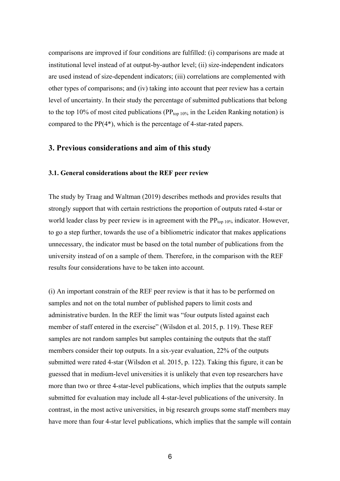comparisons are improved if four conditions are fulfilled: (i) comparisons are made at institutional level instead of at output-by-author level; (ii) size-independent indicators are used instead of size-dependent indicators; (iii) correlations are complemented with other types of comparisons; and (iv) taking into account that peer review has a certain level of uncertainty. In their study the percentage of submitted publications that belong to the top 10% of most cited publications ( $PP_{top 10\%}$  in the Leiden Ranking notation) is compared to the PP(4\*), which is the percentage of 4-star-rated papers.

## **3. Previous considerations and aim of this study**

#### **3.1. General considerations about the REF peer review**

The study by Traag and Waltman (2019) describes methods and provides results that strongly support that with certain restrictions the proportion of outputs rated 4-star or world leader class by peer review is in agreement with the  $PP_{top 10\%}$  indicator. However, to go a step further, towards the use of a bibliometric indicator that makes applications unnecessary, the indicator must be based on the total number of publications from the university instead of on a sample of them. Therefore, in the comparison with the REF results four considerations have to be taken into account.

(i) An important constrain of the REF peer review is that it has to be performed on samples and not on the total number of published papers to limit costs and administrative burden. In the REF the limit was "four outputs listed against each member of staff entered in the exercise" (Wilsdon et al. 2015, p. 119). These REF samples are not random samples but samples containing the outputs that the staff members consider their top outputs. In a six-year evaluation, 22% of the outputs submitted were rated 4-star (Wilsdon et al. 2015, p. 122). Taking this figure, it can be guessed that in medium-level universities it is unlikely that even top researchers have more than two or three 4-star-level publications, which implies that the outputs sample submitted for evaluation may include all 4-star-level publications of the university. In contrast, in the most active universities, in big research groups some staff members may have more than four 4-star level publications, which implies that the sample will contain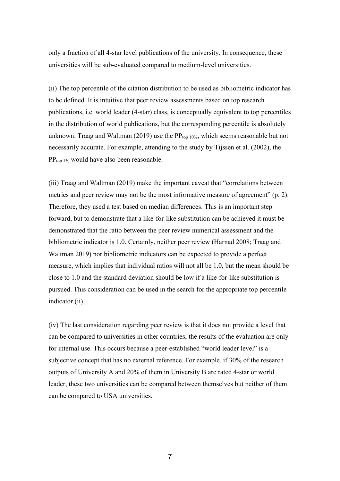only a fraction of all 4-star level publications of the university. In consequence, these universities will be sub-evaluated compared to medium-level universities.

(ii) The top percentile of the citation distribution to be used as bibliometric indicator has to be defined. It is intuitive that peer review assessments based on top research publications, i.e. world leader (4-star) class, is conceptually equivalent to top percentiles in the distribution of world publications, but the corresponding percentile is absolutely unknown. Traag and Waltman (2019) use the  $PP_{top 10\%}$ , which seems reasonable but not necessarily accurate. For example, attending to the study by Tijssen et al. (2002), the  $PP_{\text{top 1\%}}$  would have also been reasonable.

(iii) Traag and Waltman (2019) make the important caveat that "correlations between metrics and peer review may not be the most informative measure of agreement" (p. 2). Therefore, they used a test based on median differences. This is an important step forward, but to demonstrate that a like-for-like substitution can be achieved it must be demonstrated that the ratio between the peer review numerical assessment and the bibliometric indicator is 1.0. Certainly, neither peer review (Harnad 2008; Traag and Waltman 2019) nor bibliometric indicators can be expected to provide a perfect measure, which implies that individual ratios will not all be 1.0, but the mean should be close to 1.0 and the standard deviation should be low if a like-for-like substitution is pursued. This consideration can be used in the search for the appropriate top percentile indicator (ii).

(iv) The last consideration regarding peer review is that it does not provide a level that can be compared to universities in other countries; the results of the evaluation are only for internal use. This occurs because a peer-established "world leader level" is a subjective concept that has no external reference. For example, if 30% of the research outputs of University A and 20% of them in University B are rated 4-star or world leader, these two universities can be compared between themselves but neither of them can be compared to USA universities.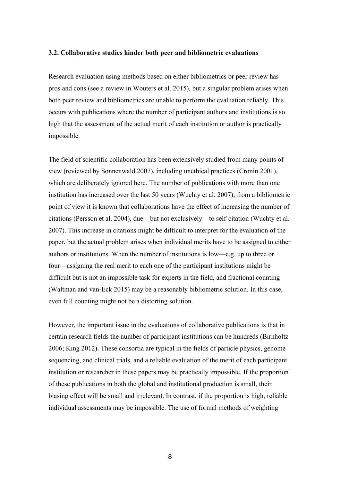#### **3.2. Collaborative studies hinder both peer and bibliometric evaluations**

Research evaluation using methods based on either bibliometrics or peer review has pros and cons (see a review in Wouters et al. 2015), but a singular problem arises when both peer review and bibliometrics are unable to perform the evaluation reliably. This occurs with publications where the number of participant authors and institutions is so high that the assessment of the actual merit of each institution or author is practically impossible.

The field of scientific collaboration has been extensively studied from many points of view (reviewed by Sonnenwald 2007), including unethical practices (Cronin 2001), which are deliberately ignored here. The number of publications with more than one institution has increased over the last 50 years (Wuchty et al. 2007); from a bibliometric point of view it is known that collaborations have the effect of increasing the number of citations (Persson et al. 2004), due—but not exclusively—to self-citation (Wuchty et al. 2007). This increase in citations might be difficult to interpret for the evaluation of the paper, but the actual problem arises when individual merits have to be assigned to either authors or institutions. When the number of institutions is low—e.g. up to three or four—assigning the real merit to each one of the participant institutions might be difficult but is not an impossible task for experts in the field, and fractional counting (Waltman and van-Eck 2015) may be a reasonably bibliometric solution. In this case, even full counting might not be a distorting solution.

However, the important issue in the evaluations of collaborative publications is that in certain research fields the number of participant institutions can be hundreds (Birnholtz 2006; King 2012). These consortia are typical in the fields of particle physics, genome sequencing, and clinical trials, and a reliable evaluation of the merit of each participant institution or researcher in these papers may be practically impossible. If the proportion of these publications in both the global and institutional production is small, their biasing effect will be small and irrelevant. In contrast, if the proportion is high, reliable individual assessments may be impossible. The use of formal methods of weighting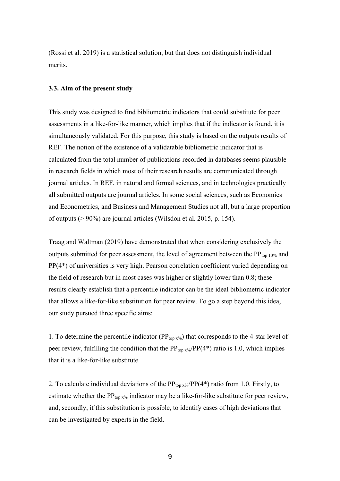(Rossi et al. 2019) is a statistical solution, but that does not distinguish individual merits.

#### **3.3. Aim of the present study**

This study was designed to find bibliometric indicators that could substitute for peer assessments in a like-for-like manner, which implies that if the indicator is found, it is simultaneously validated. For this purpose, this study is based on the outputs results of REF. The notion of the existence of a validatable bibliometric indicator that is calculated from the total number of publications recorded in databases seems plausible in research fields in which most of their research results are communicated through journal articles. In REF, in natural and formal sciences, and in technologies practically all submitted outputs are journal articles. In some social sciences, such as Economics and Econometrics, and Business and Management Studies not all, but a large proportion of outputs (> 90%) are journal articles (Wilsdon et al. 2015, p. 154).

Traag and Waltman (2019) have demonstrated that when considering exclusively the outputs submitted for peer assessment, the level of agreement between the  $PP_{\text{top 10\%}}$  and PP(4\*) of universities is very high. Pearson correlation coefficient varied depending on the field of research but in most cases was higher or slightly lower than 0.8; these results clearly establish that a percentile indicator can be the ideal bibliometric indicator that allows a like-for-like substitution for peer review. To go a step beyond this idea, our study pursued three specific aims:

1. To determine the percentile indicator ( $PP_{top x\%}$ ) that corresponds to the 4-star level of peer review, fulfilling the condition that the  $PP_{top x\%}/PP(4^*)$  ratio is 1.0, which implies that it is a like-for-like substitute.

2. To calculate individual deviations of the  $PP_{top x\%}/PP(4^*)$  ratio from 1.0. Firstly, to estimate whether the  $PP_{top x\%}$  indicator may be a like-for-like substitute for peer review, and, secondly, if this substitution is possible, to identify cases of high deviations that can be investigated by experts in the field.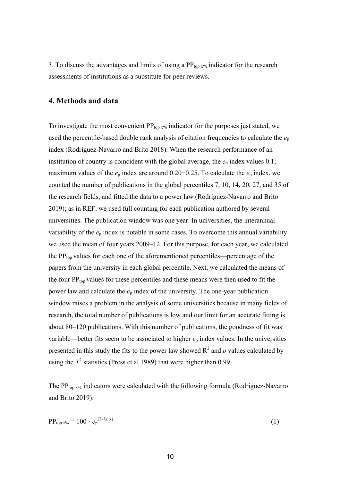3. To discuss the advantages and limits of using a  $PP_{top x\%}$  indicator for the research assessments of institutions as a substitute for peer reviews.

## **4. Methods and data**

To investigate the most convenient  $PP_{top x\%}$  indicator for the purposes just stated, we used the percentile-based double rank analysis of citation frequencies to calculate the  $e_p$ index (Rodríguez-Navarro and Brito 2018). When the research performance of an institution of country is coincident with the global average, the  $e_p$  index values  $0.1$ ; maximum values of the *e*<sup>p</sup> index are around 0.20−0.25. To calculate the *e*<sup>p</sup> index, we counted the number of publications in the global percentiles 7, 10, 14, 20, 27, and 35 of the research fields, and fitted the data to a power law (Rodríguez-Navarro and Brito 2019); as in REF, we used full counting for each publication authored by several universities. The publication window was one year. In universities, the interannual variability of the *e*<sup>p</sup> index is notable in some cases. To overcome this annual variability we used the mean of four years 2009–12. For this purpose, for each year, we calculated the  $PP_{top}$  values for each one of the aforementioned percentiles—percentage of the papers from the university in each global percentile. Next, we calculated the means of the four  $PP_{top}$  values for these percentiles and these means were then used to fit the power law and calculate the *e*<sup>p</sup> index of the university. The one-year publication window raises a problem in the analysis of some universities because in many fields of research, the total number of publications is low and our limit for an accurate fitting is about 80–120 publications. With this number of publications, the goodness of fit was variable—better fits seem to be associated to higher  $e_p$  index values. In the universities presented in this study the fits to the power law showed  $R^2$  and  $p$  values calculated by using the  $X^2$  statistics (Press et al 1989) that were higher than 0.99.

The PP<sub>top x%</sub> indicators were calculated with the following formula (Rodríguez-Navarro and Brito 2019):

$$
PP_{top\ x\%} = 100 \cdot e_p^{(2-\lg x)}
$$
 (1)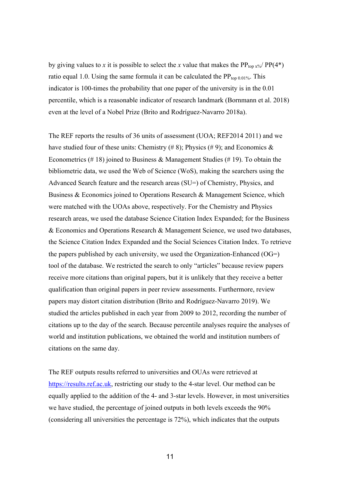by giving values to *x* it is possible to select the *x* value that makes the PP<sub>top x%</sub>/ PP(4\*) ratio equal 1.0. Using the same formula it can be calculated the  $PP_{top 0.01\%}$ . This indicator is 100-times the probability that one paper of the university is in the 0.01 percentile, which is a reasonable indicator of research landmark (Bornmann et al. 2018) even at the level of a Nobel Prize (Brito and Rodríguez-Navarro 2018a).

The REF reports the results of 36 units of assessment (UOA; REF2014 2011) and we have studied four of these units: Chemistry  $(\# 8)$ ; Physics  $(\# 9)$ ; and Economics & Econometrics (#18) joined to Business & Management Studies (#19). To obtain the bibliometric data, we used the Web of Science (WoS), making the searchers using the Advanced Search feature and the research areas (SU=) of Chemistry, Physics, and Business & Economics joined to Operations Research & Management Science, which were matched with the UOAs above, respectively. For the Chemistry and Physics research areas, we used the database Science Citation Index Expanded; for the Business & Economics and Operations Research & Management Science, we used two databases, the Science Citation Index Expanded and the Social Sciences Citation Index. To retrieve the papers published by each university, we used the Organization-Enhanced (OG=) tool of the database. We restricted the search to only "articles" because review papers receive more citations than original papers, but it is unlikely that they receive a better qualification than original papers in peer review assessments. Furthermore, review papers may distort citation distribution (Brito and Rodríguez-Navarro 2019). We studied the articles published in each year from 2009 to 2012, recording the number of citations up to the day of the search. Because percentile analyses require the analyses of world and institution publications, we obtained the world and institution numbers of citations on the same day.

The REF outputs results referred to universities and OUAs were retrieved at https://results.ref.ac.uk, restricting our study to the 4-star level. Our method can be equally applied to the addition of the 4- and 3-star levels. However, in most universities we have studied, the percentage of joined outputs in both levels exceeds the 90% (considering all universities the percentage is 72%), which indicates that the outputs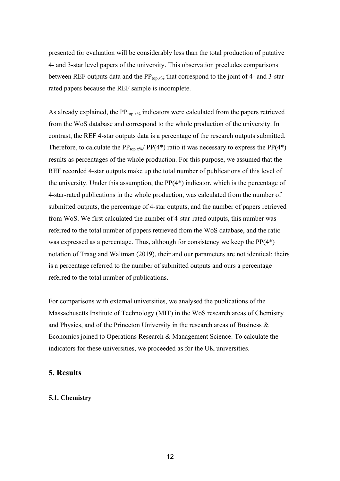presented for evaluation will be considerably less than the total production of putative 4- and 3-star level papers of the university. This observation precludes comparisons between REF outputs data and the  $PP_{top x\%}$  that correspond to the joint of 4- and 3-starrated papers because the REF sample is incomplete.

As already explained, the  $PP_{\text{top }x\%}$  indicators were calculated from the papers retrieved from the WoS database and correspond to the whole production of the university. In contrast, the REF 4-star outputs data is a percentage of the research outputs submitted. Therefore, to calculate the PP<sub>top x%</sub>/ PP(4<sup>\*</sup>) ratio it was necessary to express the PP(4<sup>\*</sup>) results as percentages of the whole production. For this purpose, we assumed that the REF recorded 4-star outputs make up the total number of publications of this level of the university. Under this assumption, the PP(4\*) indicator, which is the percentage of 4-star-rated publications in the whole production, was calculated from the number of submitted outputs, the percentage of 4-star outputs, and the number of papers retrieved from WoS. We first calculated the number of 4-star-rated outputs, this number was referred to the total number of papers retrieved from the WoS database, and the ratio was expressed as a percentage. Thus, although for consistency we keep the PP(4\*) notation of Traag and Waltman (2019), their and our parameters are not identical: theirs is a percentage referred to the number of submitted outputs and ours a percentage referred to the total number of publications.

For comparisons with external universities, we analysed the publications of the Massachusetts Institute of Technology (MIT) in the WoS research areas of Chemistry and Physics, and of the Princeton University in the research areas of Business & Economics joined to Operations Research & Management Science. To calculate the indicators for these universities, we proceeded as for the UK universities.

## **5. Results**

#### **5.1. Chemistry**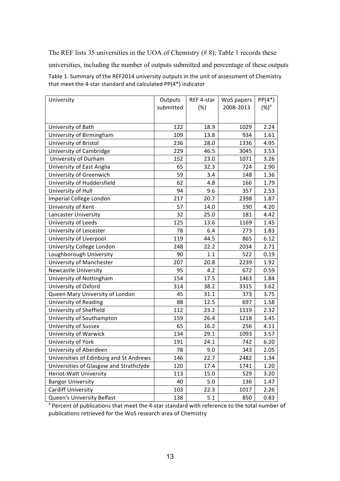The REF lists 35 universities in the UOA of Chemistry (# 8); Table 1 records these universities, including the number of outputs submitted and percentage of these outputs Table 1. Summary of the REF2014 university outputs in the unit of assessment of Chemistry that meet the 4-star standard and calculated  $PP(4^*)$  indicator

| University                              | Outputs   | REF 4-star | WoS papers | $PP(4^*)$ |
|-----------------------------------------|-----------|------------|------------|-----------|
|                                         | submitted | (%)        | 2008-2013  | $(%)^a$   |
|                                         |           |            |            |           |
| University of Bath                      | 122       | 18.9       | 1029       | 2.24      |
| University of Birmingham                | 109       | 13.8       | 934        | 1.61      |
| University of Bristol                   | 236       | 28.0       | 1336       | 4.95      |
| University of Cambridge                 | 229       | 46.5       | 3045       | 3.53      |
| University of Durham                    | 152       | 23.0       | 1071       | 3.26      |
| University of East Anglia               | 65        | 32.3       | 724        | 2.90      |
| University of Greenwich                 | 59        | 3.4        | 148        | 1.36      |
| University of Huddersfield              | 62        | 4.8        | 166        | 1.79      |
| University of Hull                      | 94        | 9.6        | 357        | 2.53      |
| Imperial College London                 | 217       | 20.7       | 2398       | 1.87      |
| University of Kent                      | 57        | 14.0       | 190        | 4.20      |
| Lancaster University                    | 32        | 25.0       | 181        | 4.42      |
| University of Leeds                     | 125       | 13.6       | 1169       | 1.45      |
| University of Leicester                 | 78        | 6.4        | 273        | 1.83      |
| University of Liverpool                 | 119       | 44.5       | 865        | 6.12      |
| University College London               | 248       | 22.2       | 2034       | 2.71      |
| Loughborough University                 | 90        | 1.1        | 522        | 0.19      |
| University of Manchester                | 207       | 20.8       | 2239       | 1.92      |
| <b>Newcastle University</b>             | 95        | 4.2        | 672        | 0.59      |
| University of Nottingham                | 154       | 17.5       | 1463       | 1.84      |
| University of Oxford                    | 314       | 38.2       | 3315       | 3.62      |
| Queen Mary University of London         | 45        | 31.1       | 373        | 3.75      |
| <b>University of Reading</b>            | 88        | 12.5       | 697        | 1.58      |
| University of Sheffield                 | 112       | 23.2       | 1119       | 2.32      |
| University of Southampton               | 159       | 26.4       | 1218       | 3.45      |
| University of Sussex                    | 65        | 16.2       | 256        | 4.11      |
| University of Warwick                   | 134       | 29.1       | 1093       | 3.57      |
| University of York                      | 191       | 24.1       | 742        | 6.20      |
| University of Aberdeen                  | 78        | 9.0        | 343        | 2.05      |
| Universities of Edinburg and St Andrews | 146       | 22.7       | 2482       | 1.34      |
| Universities of Glasgow and Strathclyde | 120       | 17.4       | 1741       | 1.20      |
| Heriot-Watt University                  | 113       | 15.0       | 529        | 3.20      |
| <b>Bangor University</b>                | 40        | 5.0        | 136        | 1.47      |
| <b>Cardiff University</b>               | 103       | 22.3       | 1017       | 2.26      |
| Queen's University Belfast              | 138       | 5.1        | 850        | 0.83      |

<sup>a</sup> Percent of publications that meet the 4-star standard with reference to the total number of publications retrieved for the WoS research area of Chemistry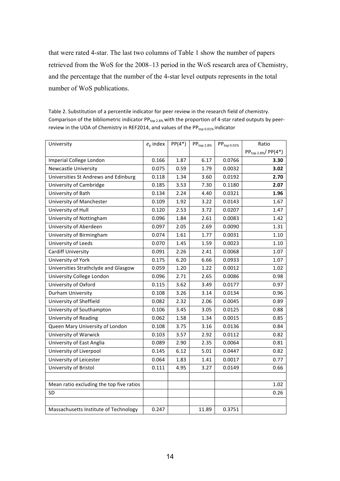that were rated 4-star. The last two columns of Table 1 show the number of papers retrieved from the WoS for the 2008–13 period in the WoS research area of Chemistry, and the percentage that the number of the 4-star level outputs represents in the total number of WoS publications.

| Table 2. Substitution of a percentile indicator for peer review in the research field of chemistry.                   |
|-----------------------------------------------------------------------------------------------------------------------|
| Comparison of the bibliometric indicator $PP_{\text{top 2.8\%}}$ with the proportion of 4-star rated outputs by peer- |
| review in the UOA of Chemistry in REF2014, and values of the $PP_{\text{top 0.01%}}$ indicator                        |

| University                               | $e_p$ index | $PP(4^*)$ | $PP_{top 2.8\%}$ | $PP_{top\ 0.01\%}$ | Ratio                    |
|------------------------------------------|-------------|-----------|------------------|--------------------|--------------------------|
|                                          |             |           |                  |                    | $PP_{top 2.8\%}/PP(4^*)$ |
| Imperial College London                  | 0.166       | 1.87      | 6.17             | 0.0766             | 3.30                     |
| <b>Newcastle University</b>              | 0.075       | 0.59      | 1.79             | 0.0032             | 3.02                     |
| Universities St Andrews and Edinburg     | 0.118       | 1.34      | 3.60             | 0.0192             | 2.70                     |
| University of Cambridge                  | 0.185       | 3.53      | 7.30             | 0.1180             | 2.07                     |
| University of Bath                       | 0.134       | 2.24      | 4.40             | 0.0321             | 1.96                     |
| University of Manchester                 | 0.109       | 1.92      | 3.22             | 0.0143             | 1.67                     |
| University of Hull                       | 0.120       | 2.53      | 3.72             | 0.0207             | 1.47                     |
| University of Nottingham                 | 0.096       | 1.84      | 2.61             | 0.0083             | 1.42                     |
| University of Aberdeen                   | 0.097       | 2.05      | 2.69             | 0.0090             | 1.31                     |
| University of Birmingham                 | 0.074       | 1.61      | 1.77             | 0.0031             | 1.10                     |
| University of Leeds                      | 0.070       | 1.45      | 1.59             | 0.0023             | 1.10                     |
| <b>Cardiff University</b>                | 0.091       | 2.26      | 2.41             | 0.0068             | 1.07                     |
| University of York                       | 0.175       | 6.20      | 6.66             | 0.0933             | 1.07                     |
| Universities Strathclyde and Glasgow     | 0.059       | 1.20      | 1.22             | 0.0012             | 1.02                     |
| University College London                | 0.096       | 2.71      | 2.65             | 0.0086             | 0.98                     |
| University of Oxford                     | 0.115       | 3.62      | 3.49             | 0.0177             | 0.97                     |
| Durham University                        | 0.108       | 3.26      | 3.14             | 0.0134             | 0.96                     |
| University of Sheffield                  | 0.082       | 2.32      | 2.06             | 0.0045             | 0.89                     |
| University of Southampton                | 0.106       | 3.45      | 3.05             | 0.0125             | 0.88                     |
| <b>University of Reading</b>             | 0.062       | 1.58      | 1.34             | 0.0015             | 0.85                     |
| Queen Mary University of London          | 0.108       | 3.75      | 3.16             | 0.0136             | 0.84                     |
| University of Warwick                    | 0.103       | 3.57      | 2.92             | 0.0112             | 0.82                     |
| University of East Anglia                | 0.089       | 2.90      | 2.35             | 0.0064             | 0.81                     |
| University of Liverpool                  | 0.145       | 6.12      | 5.01             | 0.0447             | 0.82                     |
| University of Leicester                  | 0.064       | 1.83      | 1.41             | 0.0017             | 0.77                     |
| University of Bristol                    | 0.111       | 4.95      | 3.27             | 0.0149             | 0.66                     |
|                                          |             |           |                  |                    |                          |
| Mean ratio excluding the top five ratios |             |           |                  |                    | 1.02                     |
| SD                                       |             |           |                  |                    | 0.26                     |
|                                          |             |           |                  |                    |                          |
| Massachusetts Institute of Technology    | 0.247       |           | 11.89            | 0.3751             |                          |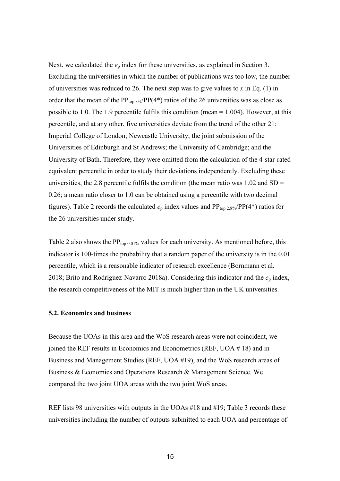Next, we calculated the  $e_p$  index for these universities, as explained in Section 3. Excluding the universities in which the number of publications was too low, the number of universities was reduced to 26. The next step was to give values to *x* in Eq. (1) in order that the mean of the  $PP_{top x\%}/PP(4^*)$  ratios of the 26 universities was as close as possible to 1.0. The 1.9 percentile fulfils this condition (mean = 1.004). However, at this percentile, and at any other, five universities deviate from the trend of the other 21: Imperial College of London; Newcastle University; the joint submission of the Universities of Edinburgh and St Andrews; the University of Cambridge; and the University of Bath. Therefore, they were omitted from the calculation of the 4-star-rated equivalent percentile in order to study their deviations independently. Excluding these universities, the 2.8 percentile fulfils the condition (the mean ratio was  $1.02$  and  $SD =$ 0.26; a mean ratio closer to 1.0 can be obtained using a percentile with two decimal figures). Table 2 records the calculated  $e_p$  index values and  $PP_{top 2.8\%}/PP(4^*)$  ratios for the 26 universities under study.

Table 2 also shows the  $PP_{top 0.01\%}$  values for each university. As mentioned before, this indicator is 100-times the probability that a random paper of the university is in the 0.01 percentile, which is a reasonable indicator of research excellence (Bornmann et al. 2018; Brito and Rodríguez-Navarro 2018a). Considering this indicator and the *e*<sup>p</sup> index, the research competitiveness of the MIT is much higher than in the UK universities.

#### **5.2. Economics and business**

Because the UOAs in this area and the WoS research areas were not coincident, we joined the REF results in Economics and Econometrics (REF, UOA # 18) and in Business and Management Studies (REF, UOA #19), and the WoS research areas of Business & Economics and Operations Research & Management Science. We compared the two joint UOA areas with the two joint WoS areas.

REF lists 98 universities with outputs in the UOAs #18 and #19; Table 3 records these universities including the number of outputs submitted to each UOA and percentage of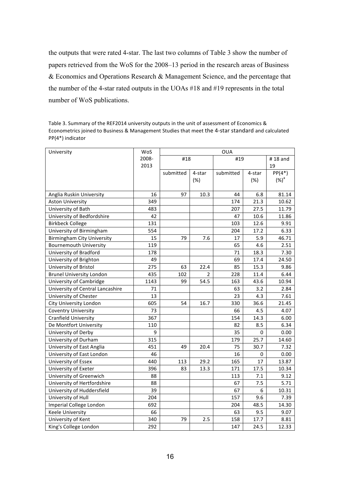the outputs that were rated 4-star. The last two columns of Table 3 show the number of papers retrieved from the WoS for the 2008–13 period in the research areas of Business & Economics and Operations Research & Management Science, and the percentage that the number of the 4-star rated outputs in the UOAs #18 and #19 represents in the total number of WoS publications.

Table 3. Summary of the REF2014 university outputs in the unit of assessment of Economics & Econometrics joined to Business & Management Studies that meet the 4-star standard and calculated PP(4\*) indicator

| University                        | WoS   | <b>OUA</b> |        |           |         |           |  |
|-----------------------------------|-------|------------|--------|-----------|---------|-----------|--|
|                                   | 2008- | #18        |        | #19       | #18 and |           |  |
|                                   | 2013  |            |        |           |         | 19        |  |
|                                   |       | submitted  | 4-star | submitted | 4-star  | $PP(4^*)$ |  |
|                                   |       |            | (%)    |           | (%)     | $(\%)^a$  |  |
|                                   |       |            |        |           |         |           |  |
| Anglia Ruskin University          | 16    | 97         | 10.3   | 44        | 6.8     | 81.14     |  |
| <b>Aston University</b>           | 349   |            |        | 174       | 21.3    | 10.62     |  |
| University of Bath                | 483   |            |        | 207       | 27.5    | 11.79     |  |
| University of Bedfordshire        | 42    |            |        | 47        | 10.6    | 11.86     |  |
| <b>Birkbeck College</b>           | 131   |            |        | 103       | 12.6    | 9.91      |  |
| University of Birmingham          | 554   |            |        | 204       | 17.2    | 6.33      |  |
| <b>Birmingham City University</b> | 15    | 79         | 7.6    | 17        | 5.9     | 46.71     |  |
| <b>Bournemouth University</b>     | 119   |            |        | 65        | 4.6     | 2.51      |  |
| University of Bradford            | 178   |            |        | 71        | 18.3    | 7.30      |  |
| University of Brighton            | 49    |            |        | 69        | 17.4    | 24.50     |  |
| University of Bristol             | 275   | 63         | 22.4   | 85        | 15.3    | 9.86      |  |
| <b>Brunel University London</b>   | 435   | 102        | 2      | 228       | 11.4    | 6.44      |  |
| University of Cambridge           | 1143  | 99         | 54.5   | 163       | 43.6    | 10.94     |  |
| University of Central Lancashire  | 71    |            |        | 63        | 3.2     | 2.84      |  |
| University of Chester             | 13    |            |        | 23        | 4.3     | 7.61      |  |
| <b>City University London</b>     | 605   | 54         | 16.7   | 330       | 36.6    | 21.45     |  |
| <b>Coventry University</b>        | 73    |            |        | 66        | 4.5     | 4.07      |  |
| <b>Cranfield University</b>       | 367   |            |        | 154       | 14.3    | 6.00      |  |
| De Montfort University            | 110   |            |        | 82        | 8.5     | 6.34      |  |
| University of Derby               | 9     |            |        | 35        | 0       | 0.00      |  |
| University of Durham              | 315   |            |        | 179       | 25.7    | 14.60     |  |
| University of East Anglia         | 451   | 49         | 20.4   | 75        | 30.7    | 7.32      |  |
| University of East London         | 46    |            |        | 16        | 0       | 0.00      |  |
| University of Essex               | 440   | 113        | 29.2   | 165       | 17      | 13.87     |  |
| University of Exeter              | 396   | 83         | 13.3   | 171       | 17.5    | 10.34     |  |
| University of Greenwich           | 88    |            |        | 113       | 7.1     | 9.12      |  |
| University of Hertfordshire       | 88    |            |        | 67        | 7.5     | 5.71      |  |
| University of Huddersfield        | 39    |            |        | 67        | 6       | 10.31     |  |
| University of Hull                | 204   |            |        | 157       | 9.6     | 7.39      |  |
| Imperial College London           | 692   |            |        | 204       | 48.5    | 14.30     |  |
| <b>Keele University</b>           | 66    |            |        | 63        | 9.5     | 9.07      |  |
| University of Kent                | 340   | 79         | 2.5    | 158       | 17.7    | 8.81      |  |
| King's College London             | 292   |            |        | 147       | 24.5    | 12.33     |  |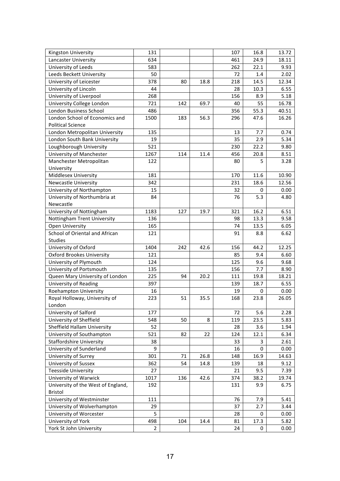| Kingston University                | 131            |     |      | 107 | 16.8 | 13.72 |
|------------------------------------|----------------|-----|------|-----|------|-------|
| Lancaster University               | 634            |     |      | 461 | 24.9 | 18.11 |
| University of Leeds                | 583            |     |      | 262 | 22.1 | 9.93  |
| Leeds Beckett University           | 50             |     |      | 72  | 1.4  | 2.02  |
| University of Leicester            | 378            | 80  | 18.8 | 218 | 14.5 | 12.34 |
| University of Lincoln              | 44             |     |      | 28  | 10.3 | 6.55  |
| University of Liverpool            | 268            |     |      | 156 | 8.9  | 5.18  |
| University College London          | 721            | 142 | 69.7 | 40  | 55   | 16.78 |
| London Business School             | 486            |     |      | 356 | 55.3 | 40.51 |
| London School of Economics and     | 1500           | 183 | 56.3 | 296 | 47.6 | 16.26 |
| <b>Political Science</b>           |                |     |      |     |      |       |
| London Metropolitan University     | 135            |     |      | 13  | 7.7  | 0.74  |
| London South Bank University       | 19             |     |      | 35  | 2.9  | 5.34  |
| Loughborough University            | 521            |     |      | 230 | 22.2 | 9.80  |
| University of Manchester           | 1267           | 114 | 11.4 | 456 | 20.8 | 8.51  |
| Manchester Metropolitan            | 122            |     |      | 80  | 5    | 3.28  |
| University                         |                |     |      |     |      |       |
| Middlesex University               | 181            |     |      | 170 | 11.6 | 10.90 |
| <b>Newcastle University</b>        | 342            |     |      | 231 | 18.6 | 12.56 |
| University of Northampton          | 15             |     |      | 32  | 0    | 0.00  |
| University of Northumbria at       | 84             |     |      | 76  | 5.3  | 4.80  |
| Newcastle                          |                |     |      |     |      |       |
| University of Nottingham           | 1183           | 127 | 19.7 | 321 | 16.2 | 6.51  |
| Nottingham Trent University        | 136            |     |      | 98  | 13.3 | 9.58  |
| <b>Open University</b>             | 165            |     |      | 74  | 13.5 | 6.05  |
| School of Oriental and African     | 121            |     |      | 91  | 8.8  | 6.62  |
| Studies                            |                |     |      |     |      |       |
| University of Oxford               | 1404           | 242 | 42.6 | 156 | 44.2 | 12.25 |
| <b>Oxford Brookes University</b>   | 121            |     |      | 85  | 9.4  | 6.60  |
| University of Plymouth             | 124            |     |      | 125 | 9.6  | 9.68  |
| University of Portsmouth           | 135            |     |      | 156 | 7.7  | 8.90  |
| Queen Mary University of London    | 225            | 94  | 20.2 | 111 | 19.8 | 18.21 |
| <b>University of Reading</b>       | 397            |     |      | 139 | 18.7 | 6.55  |
| Roehampton University              | 16             |     |      | 19  | 0    | 0.00  |
| Royal Holloway, University of      | 223            | 51  | 35.5 | 168 | 23.8 | 26.05 |
| London                             |                |     |      |     |      |       |
| University of Salford              | 177            |     |      | 72  | 5.6  | 2.28  |
| University of Sheffield            | 548            | 50  | 8    | 119 | 23.5 | 5.83  |
| Sheffield Hallam University        | 52             |     |      | 28  | 3.6  | 1.94  |
| University of Southampton          | 521            | 82  | 22   | 124 | 12.1 | 6.34  |
| <b>Staffordshire University</b>    | 38             |     |      | 33  | 3    | 2.61  |
| University of Sunderland           | 9              |     |      | 16  | 0    | 0.00  |
| University of Surrey               | 301            | 71  | 26.8 | 148 | 16.9 | 14.63 |
| University of Sussex               | 362            | 54  | 14.8 | 139 | 18   | 9.12  |
| <b>Teesside University</b>         | 27             |     |      | 21  | 9.5  | 7.39  |
| University of Warwick              | 1017           | 136 | 42.6 | 374 | 38.2 | 19.74 |
| University of the West of England, | 192            |     |      | 131 | 9.9  | 6.75  |
| Bristol                            |                |     |      |     |      |       |
| University of Westminster          | 111            |     |      | 76  | 7.9  | 5.41  |
| University of Wolverhampton        | 29             |     |      | 37  | 2.7  | 3.44  |
| University of Worcester            | 5              |     |      | 28  | 0    | 0.00  |
| University of York                 | 498            | 104 | 14.4 | 81  | 17.3 | 5.82  |
| York St John University            | $\overline{2}$ |     |      | 24  | 0    | 0.00  |
|                                    |                |     |      |     |      |       |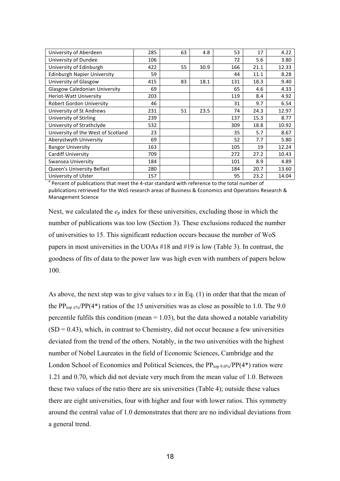| University of Aberdeen               | 285 | 63 | 4.8  | 53  | 17   | 4.22  |
|--------------------------------------|-----|----|------|-----|------|-------|
| University of Dundee                 | 106 |    |      | 72  | 5.6  | 3.80  |
| University of Edinburgh              | 422 | 55 | 30.9 | 166 | 21.1 | 12.33 |
| <b>Edinburgh Napier University</b>   | 59  |    |      | 44  | 11.1 | 8.28  |
| University of Glasgow                | 415 | 83 | 18.1 | 131 | 18.3 | 9.40  |
| <b>Glasgow Caledonian University</b> | 69  |    |      | 65  | 4.6  | 4.33  |
| <b>Heriot-Watt University</b>        | 203 |    |      | 119 | 8.4  | 4.92  |
| <b>Robert Gordon University</b>      | 46  |    |      | 31  | 9.7  | 6.54  |
| University of St Andrews             | 231 | 51 | 23.5 | 74  | 24.3 | 12.97 |
| University of Stirling               | 239 |    |      | 137 | 15.3 | 8.77  |
| University of Strathclyde            | 532 |    |      | 309 | 18.8 | 10.92 |
| University of the West of Scotland   | 23  |    |      | 35  | 5.7  | 8.67  |
| Aberystwyth University               | 69  |    |      | 52  | 7.7  | 5.80  |
| <b>Bangor University</b>             | 163 |    |      | 105 | 19   | 12.24 |
| <b>Cardiff University</b>            | 709 |    |      | 272 | 27.2 | 10.43 |
| Swansea University                   | 184 |    |      | 101 | 8.9  | 4.89  |
| <b>Queen's University Belfast</b>    | 280 |    |      | 184 | 20.7 | 13.60 |
| University of Ulster                 | 157 |    |      | 95  | 23.2 | 14.04 |

 $a<sup>a</sup>$  Percent of publications that meet the 4-star standard with reference to the total number of publications retrieved for the WoS research areas of Business & Economics and Operations Research & Management Science

Next, we calculated the  $e_p$  index for these universities, excluding those in which the number of publications was too low (Section 3). These exclusions reduced the number of universities to 15. This significant reduction occurs because the number of WoS papers in most universities in the UOAs #18 and #19 is low (Table 3). In contrast, the goodness of fits of data to the power law was high even with numbers of papers below 100.

As above, the next step was to give values to  $x$  in Eq. (1) in order that that the mean of the PP<sub>top x%</sub>/PP(4<sup>\*</sup>) ratios of the 15 universities was as close as possible to 1.0. The 9.0 percentile fulfils this condition (mean  $= 1.03$ ), but the data showed a notable variability  $(SD = 0.43)$ , which, in contrast to Chemistry, did not occur because a few universities deviated from the trend of the others. Notably, in the two universities with the highest number of Nobel Laureates in the field of Economic Sciences, Cambridge and the London School of Economics and Political Sciences, the  $PP_{top 9.0\%}/PP(4^*)$  ratios were 1.21 and 0.70, which did not deviate very much from the mean value of 1.0. Between these two values of the ratio there are six universities (Table 4); outside these values there are eight universities, four with higher and four with lower ratios. This symmetry around the central value of 1.0 demonstrates that there are no individual deviations from a general trend.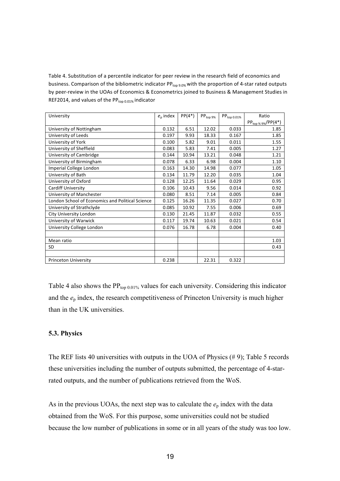Table 4. Substitution of a percentile indicator for peer review in the research field of economics and business. Comparison of the bibliometric indicator PP<sub>top 9.0%</sub> with the proportion of 4-star rated outputs by peer-review in the UOAs of Economics & Econometrics joined to Business & Management Studies in REF2014, and values of the  $PP_{top 0.01\%}$  indicator

| University                                       | $e_{p}$ index | $PP(4^*)$ | $PP_{top 9\%}$ | $PP_{top\ 0.01\%}$ | Ratio                    |
|--------------------------------------------------|---------------|-----------|----------------|--------------------|--------------------------|
|                                                  |               |           |                |                    | $PP_{top\% 9\%}/PP(4^*)$ |
| University of Nottingham                         | 0.132         | 6.51      | 12.02          | 0.033              | 1.85                     |
| University of Leeds                              | 0.197         | 9.93      | 18.33          | 0.167              | 1.85                     |
| University of York                               | 0.100         | 5.82      | 9.01           | 0.011              | 1.55                     |
| University of Sheffield                          | 0.083         | 5.83      | 7.41           | 0.005              | 1.27                     |
| University of Cambridge                          | 0.144         | 10.94     | 13.21          | 0.048              | 1.21                     |
| University of Birmingham                         | 0.078         | 6.33      | 6.98           | 0.004              | 1.10                     |
| Imperial College London                          | 0.163         | 14.30     | 14.98          | 0.077              | 1.05                     |
| University of Bath                               | 0.134         | 11.79     | 12.20          | 0.035              | 1.04                     |
| University of Oxford                             | 0.128         | 12.25     | 11.64          | 0.029              | 0.95                     |
| <b>Cardiff University</b>                        | 0.106         | 10.43     | 9.56           | 0.014              | 0.92                     |
| University of Manchester                         | 0.080         | 8.51      | 7.14           | 0.005              | 0.84                     |
| London School of Economics and Political Science | 0.125         | 16.26     | 11.35          | 0.027              | 0.70                     |
| University of Strathclyde                        | 0.085         | 10.92     | 7.55           | 0.006              | 0.69                     |
| <b>City University London</b>                    | 0.130         | 21.45     | 11.87          | 0.032              | 0.55                     |
| University of Warwick                            | 0.117         | 19.74     | 10.63          | 0.021              | 0.54                     |
| University College London                        | 0.076         | 16.78     | 6.78           | 0.004              | 0.40                     |
|                                                  |               |           |                |                    |                          |
| Mean ratio                                       |               |           |                |                    | 1.03                     |
| <b>SD</b>                                        |               |           |                |                    | 0.43                     |
|                                                  |               |           |                |                    |                          |
| <b>Princeton University</b>                      | 0.238         |           | 22.31          | 0.322              |                          |

Table 4 also shows the  $PP_{top 0.01\%}$  values for each university. Considering this indicator and the *e*<sup>p</sup> index, the research competitiveness of Princeton University is much higher than in the UK universities.

#### **5.3. Physics**

The REF lists 40 universities with outputs in the UOA of Physics  $(\# 9)$ ; Table 5 records these universities including the number of outputs submitted, the percentage of 4-starrated outputs, and the number of publications retrieved from the WoS.

As in the previous UOAs, the next step was to calculate the  $e_p$  index with the data obtained from the WoS. For this purpose, some universities could not be studied because the low number of publications in some or in all years of the study was too low.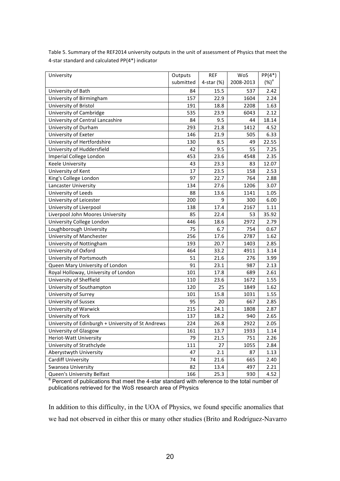| Table 5. Summary of the REF2014 university outputs in the unit of assessment of Physics that meet the |
|-------------------------------------------------------------------------------------------------------|
| 4-star standard and calculated PP(4*) indicator                                                       |

| University                                         | Outputs   | <b>REF</b> | WoS       | $PP(4^*)$ |
|----------------------------------------------------|-----------|------------|-----------|-----------|
|                                                    | submitted | 4-star (%) | 2008-2013 | $(%)^a$   |
| University of Bath                                 | 84        | 15.5       | 537       | 2.42      |
| University of Birmingham                           | 157       | 22.9       | 1604      | 2.24      |
| University of Bristol                              | 191       | 18.8       | 2208      | 1.63      |
| University of Cambridge                            | 535       | 23.9       | 6043      | 2.12      |
| University of Central Lancashire                   | 84        | 9.5        | 44        | 18.14     |
| University of Durham                               | 293       | 21.8       | 1412      | 4.52      |
| University of Exeter                               | 146       | 21.9       | 505       | 6.33      |
| University of Hertfordshire                        | 130       | 8.5        | 49        | 22.55     |
| University of Huddersfield                         | 42        | 9.5        | 55        | 7.25      |
| Imperial College London                            | 453       | 23.6       | 4548      | 2.35      |
| <b>Keele University</b>                            | 43        | 23.3       | 83        | 12.07     |
| University of Kent                                 | 17        | 23.5       | 158       | 2.53      |
| King's College London                              | 97        | 22.7       | 764       | 2.88      |
| Lancaster University                               | 134       | 27.6       | 1206      | 3.07      |
| University of Leeds                                | 88        | 13.6       | 1141      | 1.05      |
| University of Leicester                            | 200       | 9          | 300       | 6.00      |
| University of Liverpool                            | 138       | 17.4       | 2167      | 1.11      |
| Liverpool John Moores University                   | 85        | 22.4       | 53        | 35.92     |
| University College London                          | 446       | 18.6       | 2972      | 2.79      |
| Loughborough University                            | 75        | 6.7        | 754       | 0.67      |
| University of Manchester                           | 256       | 17.6       | 2787      | 1.62      |
| University of Nottingham                           | 193       | 20.7       | 1403      | 2.85      |
| University of Oxford                               | 464       | 33.2       | 4911      | 3.14      |
| University of Portsmouth                           | 51        | 21.6       | 276       | 3.99      |
| Queen Mary University of London                    | 91        | 23.1       | 987       | 2.13      |
| Royal Holloway, University of London               | 101       | 17.8       | 689       | 2.61      |
| University of Sheffield                            | 110       | 23.6       | 1672      | 1.55      |
| University of Southampton                          | 120       | 25         | 1849      | 1.62      |
| University of Surrey                               | 101       | 15.8       | 1031      | 1.55      |
| University of Sussex                               | 95        | 20         | 667       | 2.85      |
| University of Warwick                              | 215       | 24.1       | 1808      | 2.87      |
| University of York                                 | 137       | 18.2       | 940       | 2.65      |
| University of Edinburgh + University of St Andrews | 224       | 26.8       | 2922      | 2.05      |
| University of Glasgow                              | 161       | 13.7       | 1933      | 1.14      |
| Heriot-Watt University                             | 79        | 21.5       | 751       | 2.26      |
| University of Strathclyde                          | 111       | 27         | 1055      | 2.84      |
| Aberystwyth University                             | 47        | 2.1        | 87        | 1.13      |
| <b>Cardiff University</b>                          | 74        | 21.6       | 665       | 2.40      |
| Swansea University                                 | 82        | 13.4       | 497       | 2.21      |
| Queen's University Belfast                         | 166       | 25.3       | 930       | 4.52      |

<sup>a</sup> Percent of publications that meet the 4-star standard with reference to the total number of publications retrieved for the WoS research area of Physics

In addition to this difficulty, in the UOA of Physics, we found specific anomalies that we had not observed in either this or many other studies (Brito and Rodríguez-Navarro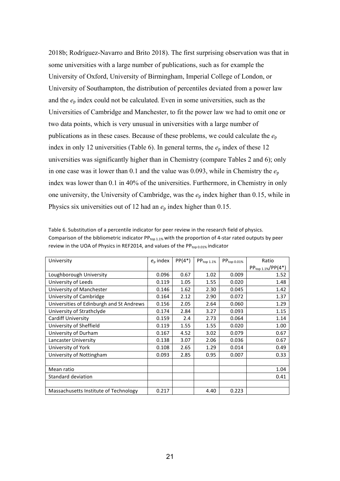2018b; Rodríguez-Navarro and Brito 2018). The first surprising observation was that in some universities with a large number of publications, such as for example the University of Oxford, University of Birmingham, Imperial College of London, or University of Southampton, the distribution of percentiles deviated from a power law and the  $e_p$  index could not be calculated. Even in some universities, such as the Universities of Cambridge and Manchester, to fit the power law we had to omit one or two data points, which is very unusual in universities with a large number of publications as in these cases. Because of these problems, we could calculate the  $e_p$ index in only 12 universities (Table 6). In general terms, the  $e_p$  index of these 12 universities was significantly higher than in Chemistry (compare Tables 2 and 6); only in one case was it lower than  $0.1$  and the value was  $0.093$ , while in Chemistry the  $e_p$ index was lower than 0.1 in 40% of the universities. Furthermore, in Chemistry in only one university, the University of Cambridge, was the  $e_p$  index higher than 0.15, while in Physics six universities out of 12 had an *e*<sup>p</sup> index higher than 0.15.

| University                               | $e_n$ index | $PP(4^*)$ | $\mathsf{PP}_{\mathsf{top}\, 1.1\%}$ | $PP_{top\ 0.01\%}$ | Ratio                    |
|------------------------------------------|-------------|-----------|--------------------------------------|--------------------|--------------------------|
|                                          |             |           |                                      |                    | $PP_{top 1.1\%}/PP(4^*)$ |
| Loughborough University                  | 0.096       | 0.67      | 1.02                                 | 0.009              | 1.52                     |
| University of Leeds                      | 0.119       | 1.05      | 1.55                                 | 0.020              | 1.48                     |
| University of Manchester                 | 0.146       | 1.62      | 2.30                                 | 0.045              | 1.42                     |
| University of Cambridge                  | 0.164       | 2.12      | 2.90                                 | 0.072              | 1.37                     |
| Universities of Edinburgh and St Andrews | 0.156       | 2.05      | 2.64                                 | 0.060              | 1.29                     |
| University of Strathclyde                | 0.174       | 2.84      | 3.27                                 | 0.093              | 1.15                     |
| Cardiff University                       | 0.159       | 2.4       | 2.73                                 | 0.064              | 1.14                     |
| University of Sheffield                  | 0.119       | 1.55      | 1.55                                 | 0.020              | 1.00                     |
| University of Durham                     | 0.167       | 4.52      | 3.02                                 | 0.079              | 0.67                     |
| Lancaster University                     | 0.138       | 3.07      | 2.06                                 | 0.036              | 0.67                     |
| University of York                       | 0.108       | 2.65      | 1.29                                 | 0.014              | 0.49                     |
| University of Nottingham                 | 0.093       | 2.85      | 0.95                                 | 0.007              | 0.33                     |
|                                          |             |           |                                      |                    |                          |
| Mean ratio                               |             |           |                                      |                    | 1.04                     |
| <b>Standard deviation</b>                |             |           |                                      |                    | 0.41                     |
|                                          |             |           |                                      |                    |                          |
| Massachusetts Institute of Technology    | 0.217       |           | 4.40                                 | 0.223              |                          |

Table 6. Substitution of a percentile indicator for peer review in the research field of physics. Comparison of the bibliometric indicator  $PP_{\text{top 1.1%}}$  with the proportion of 4-star rated outputs by peer review in the UOA of Physics in REF2014, and values of the  $PP_{\text{top 0.01%}}$  indicator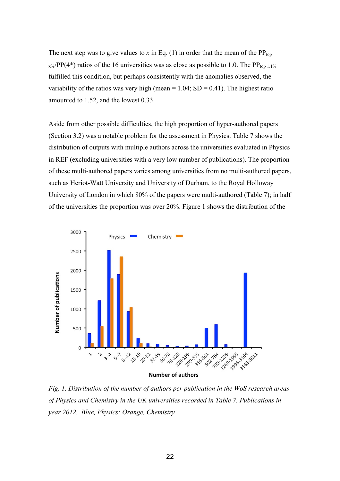The next step was to give values to *x* in Eq. (1) in order that the mean of the  $PP_{top}$  $_{x\%}/PP(4^*)$  ratios of the 16 universities was as close as possible to 1.0. The PP<sub>top 1.1%</sub> fulfilled this condition, but perhaps consistently with the anomalies observed, the variability of the ratios was very high (mean  $= 1.04$ ; SD  $= 0.41$ ). The highest ratio amounted to 1.52, and the lowest 0.33.

Aside from other possible difficulties, the high proportion of hyper-authored papers (Section 3.2) was a notable problem for the assessment in Physics. Table 7 shows the distribution of outputs with multiple authors across the universities evaluated in Physics in REF (excluding universities with a very low number of publications). The proportion of these multi-authored papers varies among universities from no multi-authored papers, such as Heriot-Watt University and University of Durham, to the Royal Holloway University of London in which 80% of the papers were multi-authored (Table 7); in half of the universities the proportion was over 20%. Figure 1 shows the distribution of the



*Fig. 1. Distribution of the number of authors per publication in the WoS research areas of Physics and Chemistry in the UK universities recorded in Table 7. Publications in year 2012. Blue, Physics; Orange, Chemistry*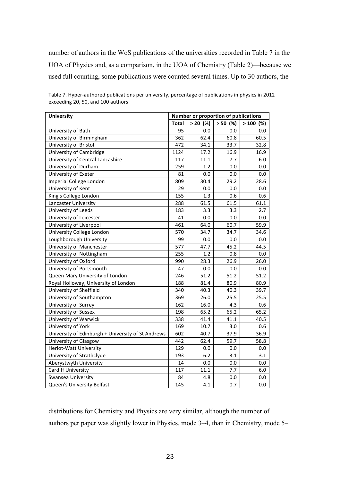number of authors in the WoS publications of the universities recorded in Table 7 in the UOA of Physics and, as a comparison, in the UOA of Chemistry (Table 2)—because we used full counting, some publications were counted several times. Up to 30 authors, the

| <b>University</b>                                  | <b>Number or proportion of publications</b> |            |            |            |  |
|----------------------------------------------------|---------------------------------------------|------------|------------|------------|--|
|                                                    | Total                                       | $> 20$ (%) | $> 50$ (%) | $>100$ (%) |  |
| University of Bath                                 | 95                                          | 0.0        | 0.0        | 0.0        |  |
| University of Birmingham                           | 362                                         | 62.4       | 60.8       | 60.5       |  |
| University of Bristol                              | 472                                         | 34.1       | 33.7       | 32.8       |  |
| University of Cambridge                            | 1124                                        | 17.2       | 16.9       | 16.9       |  |
| University of Central Lancashire                   | 117                                         | 11.1       | 7.7        | 6.0        |  |
| University of Durham                               | 259                                         | 1.2        | 0.0        | 0.0        |  |
| University of Exeter                               | 81                                          | 0.0        | 0.0        | 0.0        |  |
| Imperial College London                            | 809                                         | 30.4       | 29.2       | 28.6       |  |
| University of Kent                                 | 29                                          | 0.0        | 0.0        | 0.0        |  |
| King's College London                              | 155                                         | 1.3        | 0.6        | 0.6        |  |
| Lancaster University                               | 288                                         | 61.5       | 61.5       | 61.1       |  |
| University of Leeds                                | 183                                         | 3.3        | 3.3        | 2.7        |  |
| University of Leicester                            | 41                                          | 0.0        | 0.0        | 0.0        |  |
| University of Liverpool                            | 461                                         | 64.0       | 60.7       | 59.9       |  |
| University College London                          | 570                                         | 34.7       | 34.7       | 34.6       |  |
| Loughborough University                            | 99                                          | 0.0        | 0.0        | 0.0        |  |
| University of Manchester                           | 577                                         | 47.7       | 45.2       | 44.5       |  |
| University of Nottingham                           | 255                                         | 1.2        | 0.8        | 0.0        |  |
| University of Oxford                               | 990                                         | 28.3       | 26.9       | 26.0       |  |
| University of Portsmouth                           | 47                                          | 0.0        | 0.0        | 0.0        |  |
| Queen Mary University of London                    | 246                                         | 51.2       | 51.2       | 51.2       |  |
| Royal Holloway, University of London               | 188                                         | 81.4       | 80.9       | 80.9       |  |
| University of Sheffield                            | 340                                         | 40.3       | 40.3       | 39.7       |  |
| University of Southampton                          | 369                                         | 26.0       | 25.5       | 25.5       |  |
| University of Surrey                               | 162                                         | 16.0       | 4.3        | 0.6        |  |
| University of Sussex                               | 198                                         | 65.2       | 65.2       | 65.2       |  |
| University of Warwick                              | 338                                         | 41.4       | 41.1       | 40.5       |  |
| University of York                                 | 169                                         | 10.7       | 3.0        | 0.6        |  |
| University of Edinburgh + University of St Andrews | 602                                         | 40.7       | 37.9       | 36.9       |  |
| University of Glasgow                              | 442                                         | 62.4       | 59.7       | 58.8       |  |
| Heriot-Watt University                             | 129                                         | 0.0        | 0.0        | 0.0        |  |
| University of Strathclyde                          | 193                                         | 6.2        | 3.1        | 3.1        |  |
| Aberystwyth University                             | 14                                          | 0.0        | 0.0        | 0.0        |  |
| <b>Cardiff University</b>                          | 117                                         | 11.1       | 7.7        | 6.0        |  |
| Swansea University                                 | 84                                          | 4.8        | 0.0        | 0.0        |  |
| Queen's University Belfast                         | 145                                         | 4.1        | 0.7        | 0.0        |  |

Table 7. Hyper-authored publications per university, percentage of publications in physics in 2012 exceeding 20, 50, and 100 authors

distributions for Chemistry and Physics are very similar, although the number of authors per paper was slightly lower in Physics, mode 3–4, than in Chemistry, mode 5–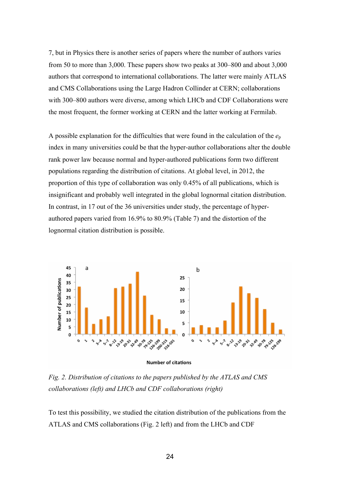7, but in Physics there is another series of papers where the number of authors varies from 50 to more than 3,000. These papers show two peaks at 300–800 and about 3,000 authors that correspond to international collaborations. The latter were mainly ATLAS and CMS Collaborations using the Large Hadron Collinder at CERN; collaborations with 300–800 authors were diverse, among which LHCb and CDF Collaborations were the most frequent, the former working at CERN and the latter working at Fermilab.

A possible explanation for the difficulties that were found in the calculation of the  $e_p$ index in many universities could be that the hyper-author collaborations alter the double rank power law because normal and hyper-authored publications form two different populations regarding the distribution of citations. At global level, in 2012, the proportion of this type of collaboration was only 0.45% of all publications, which is insignificant and probably well integrated in the global lognormal citation distribution. In contrast, in 17 out of the 36 universities under study, the percentage of hyperauthored papers varied from 16.9% to 80.9% (Table 7) and the distortion of the lognormal citation distribution is possible.





*Fig. 2. Distribution of citations to the papers published by the ATLAS and CMS collaborations (left) and LHCb and CDF collaborations (right)*

To test this possibility, we studied the citation distribution of the publications from the ATLAS and CMS collaborations (Fig. 2 left) and from the LHCb and CDF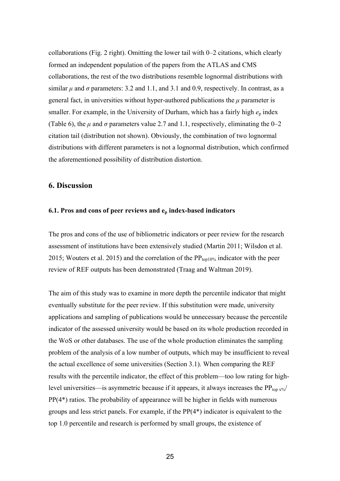collaborations (Fig. 2 right). Omitting the lower tail with 0–2 citations, which clearly formed an independent population of the papers from the ATLAS and CMS collaborations, the rest of the two distributions resemble lognormal distributions with similar  $\mu$  and  $\sigma$  parameters: 3.2 and 1.1, and 3.1 and 0.9, respectively. In contrast, as a general fact, in universities without hyper-authored publications the  $\mu$  parameter is smaller. For example, in the University of Durham, which has a fairly high  $e_p$  index (Table 6), the  $\mu$  and  $\sigma$  parameters value 2.7 and 1.1, respectively, eliminating the 0–2 citation tail (distribution not shown). Obviously, the combination of two lognormal distributions with different parameters is not a lognormal distribution, which confirmed the aforementioned possibility of distribution distortion.

## **6. Discussion**

#### **6.1. Pros and cons of peer reviews and ep index-based indicators**

The pros and cons of the use of bibliometric indicators or peer review for the research assessment of institutions have been extensively studied (Martin 2011; Wilsdon et al. 2015; Wouters et al. 2015) and the correlation of the  $PP_{top10\%}$  indicator with the peer review of REF outputs has been demonstrated (Traag and Waltman 2019).

The aim of this study was to examine in more depth the percentile indicator that might eventually substitute for the peer review. If this substitution were made, university applications and sampling of publications would be unnecessary because the percentile indicator of the assessed university would be based on its whole production recorded in the WoS or other databases. The use of the whole production eliminates the sampling problem of the analysis of a low number of outputs, which may be insufficient to reveal the actual excellence of some universities (Section 3.1). When comparing the REF results with the percentile indicator, the effect of this problem—too low rating for highlevel universities—is asymmetric because if it appears, it always increases the  $PP_{top x\%}/$ PP(4\*) ratios. The probability of appearance will be higher in fields with numerous groups and less strict panels. For example, if the PP(4\*) indicator is equivalent to the top 1.0 percentile and research is performed by small groups, the existence of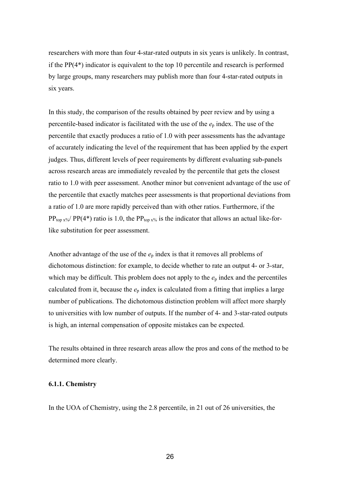researchers with more than four 4-star-rated outputs in six years is unlikely. In contrast, if the PP(4\*) indicator is equivalent to the top 10 percentile and research is performed by large groups, many researchers may publish more than four 4-star-rated outputs in six years.

In this study, the comparison of the results obtained by peer review and by using a percentile-based indicator is facilitated with the use of the  $e<sub>p</sub>$  index. The use of the percentile that exactly produces a ratio of 1.0 with peer assessments has the advantage of accurately indicating the level of the requirement that has been applied by the expert judges. Thus, different levels of peer requirements by different evaluating sub-panels across research areas are immediately revealed by the percentile that gets the closest ratio to 1.0 with peer assessment. Another minor but convenient advantage of the use of the percentile that exactly matches peer assessments is that proportional deviations from a ratio of 1.0 are more rapidly perceived than with other ratios. Furthermore, if the  $PP_{top x\%}/PP(4^*)$  ratio is 1.0, the  $PP_{top x\%}$  is the indicator that allows an actual like-forlike substitution for peer assessment.

Another advantage of the use of the *e*<sup>p</sup> index is that it removes all problems of dichotomous distinction: for example, to decide whether to rate an output 4- or 3-star, which may be difficult. This problem does not apply to the  $e_p$  index and the percentiles calculated from it, because the *e*<sup>p</sup> index is calculated from a fitting that implies a large number of publications. The dichotomous distinction problem will affect more sharply to universities with low number of outputs. If the number of 4- and 3-star-rated outputs is high, an internal compensation of opposite mistakes can be expected.

The results obtained in three research areas allow the pros and cons of the method to be determined more clearly.

#### **6.1.1. Chemistry**

In the UOA of Chemistry, using the 2.8 percentile, in 21 out of 26 universities, the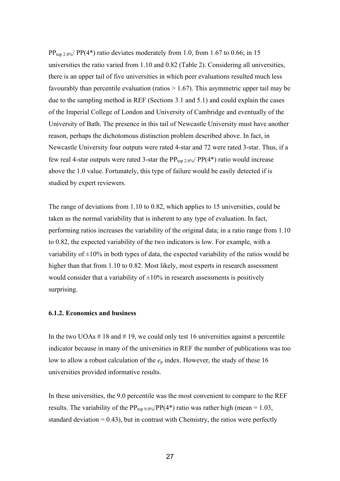$PP_{top 2.8\%}/PP(4^*)$  ratio deviates moderately from 1.0, from 1.67 to 0.66; in 15 universities the ratio varied from 1.10 and 0.82 (Table 2). Considering all universities, there is an upper tail of five universities in which peer evaluations resulted much less favourably than percentile evaluation (ratios  $> 1.67$ ). This asymmetric upper tail may be due to the sampling method in REF (Sections 3.1 and 5.1) and could explain the cases of the Imperial College of London and University of Cambridge and eventually of the University of Bath. The presence in this tail of Newcastle University must have another reason, perhaps the dichotomous distinction problem described above. In fact, in Newcastle University four outputs were rated 4-star and 72 were rated 3-star. Thus, if a few real 4-star outputs were rated 3-star the  $PP_{top 2.8\%}/PP(4*)$  ratio would increase above the 1.0 value. Fortunately, this type of failure would be easily detected if is studied by expert reviewers.

The range of deviations from 1.10 to 0.82, which applies to 15 universities, could be taken as the normal variability that is inherent to any type of evaluation. In fact, performing ratios increases the variability of the original data; in a ratio range from 1.10 to 0.82, the expected variability of the two indicators is low. For example, with a variability of  $\pm 10\%$  in both types of data, the expected variability of the ratios would be higher than that from 1.10 to 0.82. Most likely, most experts in research assessment would consider that a variability of  $\pm 10\%$  in research assessments is positively surprising.

#### **6.1.2. Economics and business**

In the two UOAs  $\#$  18 and  $\#$  19, we could only test 16 universities against a percentile indicator because in many of the universities in REF the number of publications was too low to allow a robust calculation of the  $e_p$  index. However, the study of these 16 universities provided informative results.

In these universities, the 9.0 percentile was the most convenient to compare to the REF results. The variability of the  $PP_{top 9.0\%}/PP(4^*)$  ratio was rather high (mean = 1.03, standard deviation  $= 0.43$ ), but in contrast with Chemistry, the ratios were perfectly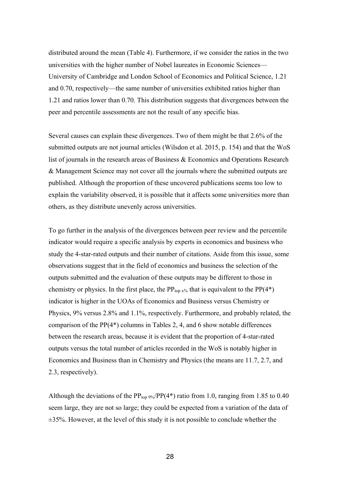distributed around the mean (Table 4). Furthermore, if we consider the ratios in the two universities with the higher number of Nobel laureates in Economic Sciences— University of Cambridge and London School of Economics and Political Science, 1.21 and 0.70, respectively—the same number of universities exhibited ratios higher than 1.21 and ratios lower than 0.70. This distribution suggests that divergences between the peer and percentile assessments are not the result of any specific bias.

Several causes can explain these divergences. Two of them might be that 2.6% of the submitted outputs are not journal articles (Wilsdon et al. 2015, p. 154) and that the WoS list of journals in the research areas of Business & Economics and Operations Research & Management Science may not cover all the journals where the submitted outputs are published. Although the proportion of these uncovered publications seems too low to explain the variability observed, it is possible that it affects some universities more than others, as they distribute unevenly across universities.

To go further in the analysis of the divergences between peer review and the percentile indicator would require a specific analysis by experts in economics and business who study the 4-star-rated outputs and their number of citations. Aside from this issue, some observations suggest that in the field of economics and business the selection of the outputs submitted and the evaluation of these outputs may be different to those in chemistry or physics. In the first place, the  $PP_{top x\%}$  that is equivalent to the  $PP(4^*)$ indicator is higher in the UOAs of Economics and Business versus Chemistry or Physics, 9% versus 2.8% and 1.1%, respectively. Furthermore, and probably related, the comparison of the PP(4\*) columns in Tables 2, 4, and 6 show notable differences between the research areas, because it is evident that the proportion of 4-star-rated outputs versus the total number of articles recorded in the WoS is notably higher in Economics and Business than in Chemistry and Physics (the means are 11.7, 2.7, and 2.3, respectively).

Although the deviations of the  $PP_{top 9\%}/PP(4^*)$  ratio from 1.0, ranging from 1.85 to 0.40 seem large, they are not so large; they could be expected from a variation of the data of ±35%. However, at the level of this study it is not possible to conclude whether the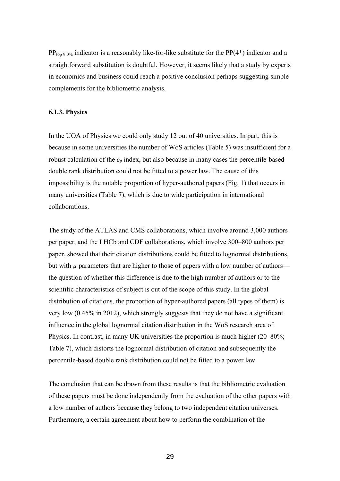$PP_{top 9.0\%}$  indicator is a reasonably like-for-like substitute for the  $PP(4^*)$  indicator and a straightforward substitution is doubtful. However, it seems likely that a study by experts in economics and business could reach a positive conclusion perhaps suggesting simple complements for the bibliometric analysis.

#### **6.1.3. Physics**

In the UOA of Physics we could only study 12 out of 40 universities. In part, this is because in some universities the number of WoS articles (Table 5) was insufficient for a robust calculation of the  $e_p$  index, but also because in many cases the percentile-based double rank distribution could not be fitted to a power law. The cause of this impossibility is the notable proportion of hyper-authored papers (Fig. 1) that occurs in many universities (Table 7), which is due to wide participation in international collaborations.

The study of the ATLAS and CMS collaborations, which involve around 3,000 authors per paper, and the LHCb and CDF collaborations, which involve 300–800 authors per paper, showed that their citation distributions could be fitted to lognormal distributions, but with  $\mu$  parameters that are higher to those of papers with a low number of authors the question of whether this difference is due to the high number of authors or to the scientific characteristics of subject is out of the scope of this study. In the global distribution of citations, the proportion of hyper-authored papers (all types of them) is very low (0.45% in 2012), which strongly suggests that they do not have a significant influence in the global lognormal citation distribution in the WoS research area of Physics. In contrast, in many UK universities the proportion is much higher (20–80%; Table 7), which distorts the lognormal distribution of citation and subsequently the percentile-based double rank distribution could not be fitted to a power law.

The conclusion that can be drawn from these results is that the bibliometric evaluation of these papers must be done independently from the evaluation of the other papers with a low number of authors because they belong to two independent citation universes. Furthermore, a certain agreement about how to perform the combination of the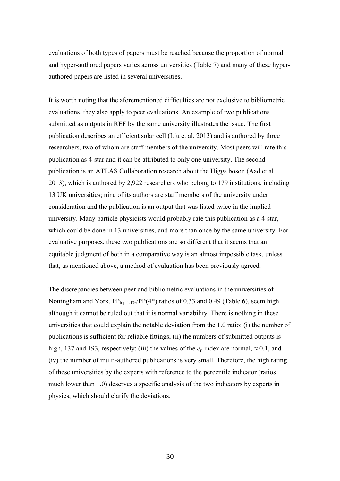evaluations of both types of papers must be reached because the proportion of normal and hyper-authored papers varies across universities (Table 7) and many of these hyperauthored papers are listed in several universities.

It is worth noting that the aforementioned difficulties are not exclusive to bibliometric evaluations, they also apply to peer evaluations. An example of two publications submitted as outputs in REF by the same university illustrates the issue. The first publication describes an efficient solar cell (Liu et al. 2013) and is authored by three researchers, two of whom are staff members of the university. Most peers will rate this publication as 4-star and it can be attributed to only one university. The second publication is an ATLAS Collaboration research about the Higgs boson (Aad et al. 2013), which is authored by 2,922 researchers who belong to 179 institutions, including 13 UK universities; nine of its authors are staff members of the university under consideration and the publication is an output that was listed twice in the implied university. Many particle physicists would probably rate this publication as a 4-star, which could be done in 13 universities, and more than once by the same university. For evaluative purposes, these two publications are so different that it seems that an equitable judgment of both in a comparative way is an almost impossible task, unless that, as mentioned above, a method of evaluation has been previously agreed.

The discrepancies between peer and bibliometric evaluations in the universities of Nottingham and York,  $PP_{top 1.1\%}/PP(4^*)$  ratios of 0.33 and 0.49 (Table 6), seem high although it cannot be ruled out that it is normal variability. There is nothing in these universities that could explain the notable deviation from the 1.0 ratio: (i) the number of publications is sufficient for reliable fittings; (ii) the numbers of submitted outputs is high, 137 and 193, respectively; (iii) the values of the  $e_p$  index are normal,  $\approx 0.1$ , and (iv) the number of multi-authored publications is very small. Therefore, the high rating of these universities by the experts with reference to the percentile indicator (ratios much lower than 1.0) deserves a specific analysis of the two indicators by experts in physics, which should clarify the deviations.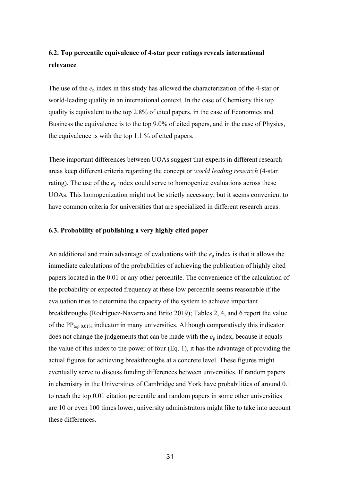## **6.2. Top percentile equivalence of 4-star peer ratings reveals international relevance**

The use of the *e*<sup>p</sup> index in this study has allowed the characterization of the 4-star or world-leading quality in an international context. In the case of Chemistry this top quality is equivalent to the top 2.8% of cited papers, in the case of Economics and Business the equivalence is to the top 9.0% of cited papers, and in the case of Physics, the equivalence is with the top 1.1 % of cited papers.

These important differences between UOAs suggest that experts in different research areas keep different criteria regarding the concept or *world leading research* (4-star rating). The use of the  $e_p$  index could serve to homogenize evaluations across these UOAs. This homogenization might not be strictly necessary, but it seems convenient to have common criteria for universities that are specialized in different research areas.

#### **6.3. Probability of publishing a very highly cited paper**

An additional and main advantage of evaluations with the *e*<sup>p</sup> index is that it allows the immediate calculations of the probabilities of achieving the publication of highly cited papers located in the 0.01 or any other percentile. The convenience of the calculation of the probability or expected frequency at these low percentile seems reasonable if the evaluation tries to determine the capacity of the system to achieve important breakthroughs (Rodríguez-Navarro and Brito 2019); Tables 2, 4, and 6 report the value of the  $PP_{top\ 0.01\%}$  indicator in many universities. Although comparatively this indicator does not change the judgements that can be made with the *e*<sup>p</sup> index, because it equals the value of this index to the power of four (Eq. 1), it has the advantage of providing the actual figures for achieving breakthroughs at a concrete level. These figures might eventually serve to discuss funding differences between universities. If random papers in chemistry in the Universities of Cambridge and York have probabilities of around 0.1 to reach the top 0.01 citation percentile and random papers in some other universities are 10 or even 100 times lower, university administrators might like to take into account these differences.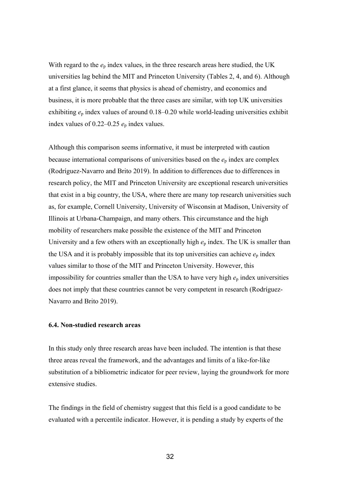With regard to the  $e_p$  index values, in the three research areas here studied, the UK universities lag behind the MIT and Princeton University (Tables 2, 4, and 6). Although at a first glance, it seems that physics is ahead of chemistry, and economics and business, it is more probable that the three cases are similar, with top UK universities exhibiting *e*<sup>p</sup> index values of around 0.18–0.20 while world-leading universities exhibit index values of  $0.22-0.25$   $e_p$  index values.

Although this comparison seems informative, it must be interpreted with caution because international comparisons of universities based on the  $e<sub>p</sub>$  index are complex (Rodríguez-Navarro and Brito 2019). In addition to differences due to differences in research policy, the MIT and Princeton University are exceptional research universities that exist in a big country, the USA, where there are many top research universities such as, for example, Cornell University, University of Wisconsin at Madison, University of Illinois at Urbana-Champaign, and many others. This circumstance and the high mobility of researchers make possible the existence of the MIT and Princeton University and a few others with an exceptionally high  $e<sub>p</sub>$  index. The UK is smaller than the USA and it is probably impossible that its top universities can achieve  $e_p$  index values similar to those of the MIT and Princeton University. However, this impossibility for countries smaller than the USA to have very high  $e_p$  index universities does not imply that these countries cannot be very competent in research (Rodríguez-Navarro and Brito 2019).

## **6.4. Non-studied research areas**

In this study only three research areas have been included. The intention is that these three areas reveal the framework, and the advantages and limits of a like-for-like substitution of a bibliometric indicator for peer review, laying the groundwork for more extensive studies.

The findings in the field of chemistry suggest that this field is a good candidate to be evaluated with a percentile indicator. However, it is pending a study by experts of the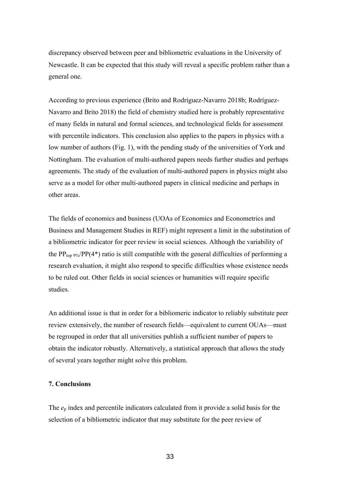discrepancy observed between peer and bibliometric evaluations in the University of Newcastle. It can be expected that this study will reveal a specific problem rather than a general one.

According to previous experience (Brito and Rodríguez-Navarro 2018b; Rodríguez-Navarro and Brito 2018) the field of chemistry studied here is probably representative of many fields in natural and formal sciences, and technological fields for assessment with percentile indicators. This conclusion also applies to the papers in physics with a low number of authors (Fig. 1), with the pending study of the universities of York and Nottingham. The evaluation of multi-authored papers needs further studies and perhaps agreements. The study of the evaluation of multi-authored papers in physics might also serve as a model for other multi-authored papers in clinical medicine and perhaps in other areas.

The fields of economics and business (UOAs of Economics and Econometrics and Business and Management Studies in REF) might represent a limit in the substitution of a bibliometric indicator for peer review in social sciences. Although the variability of the PP<sub>top 9%</sub>/PP(4<sup>\*</sup>) ratio is still compatible with the general difficulties of performing a research evaluation, it might also respond to specific difficulties whose existence needs to be ruled out. Other fields in social sciences or humanities will require specific studies.

An additional issue is that in order for a bibliomeric indicator to reliably substitute peer review extensively, the number of research fields—equivalent to current OUAs—must be regrouped in order that all universities publish a sufficient number of papers to obtain the indicator robustly. Alternatively, a statistical approach that allows the study of several years together might solve this problem.

## **7. Conclusions**

The *e*<sup>p</sup> index and percentile indicators calculated from it provide a solid basis for the selection of a bibliometric indicator that may substitute for the peer review of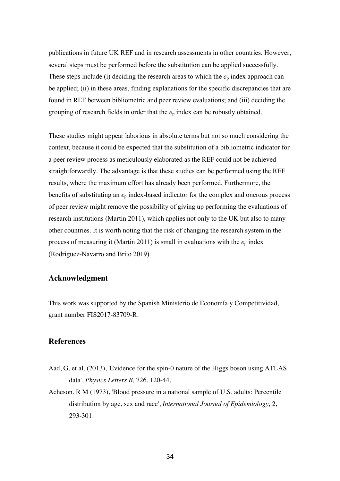publications in future UK REF and in research assessments in other countries. However, several steps must be performed before the substitution can be applied successfully. These steps include (i) deciding the research areas to which the  $e_p$  index approach can be applied; (ii) in these areas, finding explanations for the specific discrepancies that are found in REF between bibliometric and peer review evaluations; and (iii) deciding the grouping of research fields in order that the  $e_p$  index can be robustly obtained.

These studies might appear laborious in absolute terms but not so much considering the context, because it could be expected that the substitution of a bibliometric indicator for a peer review process as meticulously elaborated as the REF could not be achieved straightforwardly. The advantage is that these studies can be performed using the REF results, where the maximum effort has already been performed. Furthermore, the benefits of substituting an *e*<sup>p</sup> index-based indicator for the complex and onerous process of peer review might remove the possibility of giving up performing the evaluations of research institutions (Martin 2011), which applies not only to the UK but also to many other countries. It is worth noting that the risk of changing the research system in the process of measuring it (Martin 2011) is small in evaluations with the  $e_p$  index (Rodríguez-Navarro and Brito 2019).

## **Acknowledgment**

This work was supported by the Spanish Ministerio de Economía y Competitividad, grant number FIS2017-83709-R.

## **References**

- Aad, G, et al. (2013), 'Evidence for the spin-0 nature of the Higgs boson using ATLAS data', *Physics Letters B,* 726, 120-44.
- Acheson, R M (1973), 'Blood pressure in a national sample of U.S. adults: Percentile distribution by age, sex and race', *International Journal of Epidemiology,* 2, 293-301.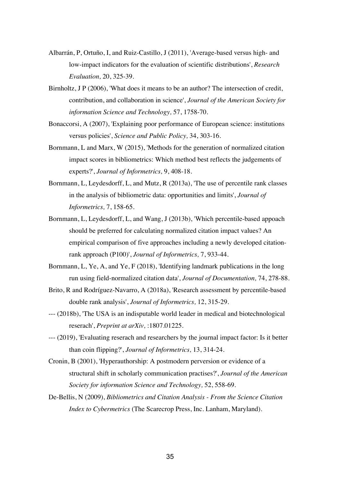- Albarrán, P, Ortuño, I, and Ruiz-Castillo, J (2011), 'Average-based versus high- and low-impact indicators for the evaluation of scientific distributions', *Research Evaluation,* 20, 325-39.
- Birnholtz, J P (2006), 'What does it means to be an author? The intersection of credit, contribution, and collaboration in science', *Journal of the American Society for information Science and Technology,* 57, 1758-70.
- Bonaccorsi, A (2007), 'Explaining poor performance of European science: institutions versus policies', *Science and Public Policy,* 34, 303-16.
- Bornmann, L and Marx, W (2015), 'Methods for the generation of normalized citation impact scores in bibliometrics: Which method best reflects the judgements of experts?', *Journal of Informetrics,* 9, 408-18.
- Bornmann, L, Leydesdorff, L, and Mutz, R (2013a), 'The use of percentile rank classes in the analysis of bibliometric data: opportunities and limits', *Journal of Informetrics,* 7, 158-65.
- Bornmann, L, Leydesdorff, L, and Wang, J (2013b), 'Which percentile-based appoach should be preferred for calculating normalized citation impact values? An empirical comparison of five approaches including a newly developed citationrank approach (P100)', *Journal of Informetrics,* 7, 933-44.
- Bornmann, L, Ye, A, and Ye, F (2018), 'Identifying landmark publications in the long run using field-normalized citation data', *Journal of Documentation,* 74, 278-88.
- Brito, R and Rodríguez-Navarro, A (2018a), 'Research assessment by percentile-based double rank analysis', *Journal of Informetrics,* 12, 315-29.
- --- (2018b), 'The USA is an indisputable world leader in medical and biotechnological reserach', *Preprint at arXiv,* :1807.01225.
- --- (2019), 'Evaluating reserach and researchers by the journal impact factor: Is it better than coin flipping?', *Journal of Informetrics,* 13, 314-24.
- Cronin, B (2001), 'Hyperauthorship: A postmodern perversion or evidence of a structural shift in scholarly communication practises?', *Journal of the American Society for information Science and Technology,* 52, 558-69.
- De-Bellis, N (2009), *Bibliometrics and Citation Analysis - From the Science Citation Index to Cybermetrics* (The Scarecrop Press, Inc. Lanham, Maryland).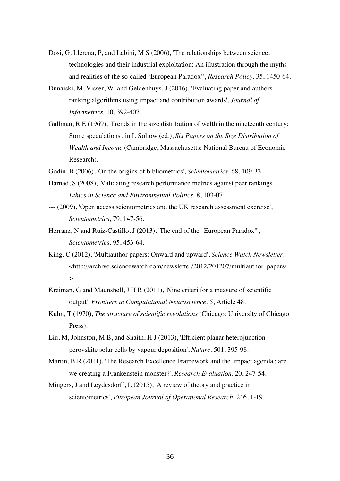- Dosi, G, Llerena, P, and Labini, M S (2006), 'The relationships between science, technologies and their industrial exploitation: An illustration through the myths and realities of the so-called 'European Paradox'', *Research Policy,* 35, 1450-64.
- Dunaiski, M, Visser, W, and Geldenhuys, J (2016), 'Evaluating paper and authors ranking algorithms using impact and contribution awards', *Journal of Informetrics,* 10, 392-407.
- Gallman, R E (1969), 'Trends in the size distribution of welth in the nineteenth century: Some speculations', in L Soltow (ed.), *Six Papers on the Size Distribution of Wealth and Income* (Cambridge, Massachusetts: National Bureau of Economic Research).
- Godin, B (2006), 'On the origins of bibliometrics', *Scientometrics,* 68, 109-33.
- Harnad, S (2008), 'Validating research performance metrics against peer rankings', *Ethics in Science and Environmental Politics,* 8, 103-07.
- --- (2009), 'Open access scientometrics and the UK research assessment exercise', *Scientometrics,* 79, 147-56.
- Herranz, N and Ruiz-Castillo, J (2013), 'The end of the "European Paradox"', *Scientometrics,* 95, 453-64.
- King, C (2012), 'Multiauthor papers: Onward and upward', *Science Watch Newsletter*. <http://archive.sciencewatch.com/newsletter/2012/201207/multiauthor\_papers/  $\mathbf{L}$
- Kreiman, G and Maunshell, J H R (2011), 'Nine criteri for a measure of scientific output', *Frontiers in Computational Neuroscience,* 5, Article 48.
- Kuhn, T (1970), *The structure of scientific revolutions* (Chicago: University of Chicago Press).
- Liu, M, Johnston, M B, and Snaith, H J (2013), 'Efficient planar heterojunction perovskite solar cells by vapour deposition', *Nature,* 501, 395-98.
- Martin, B R (2011), 'The Research Excellence Framework and the 'impact agenda': are we creating a Frankenstein monster?', *Research Evaluation,* 20, 247-54.
- Mingers, J and Leydesdorff, L (2015), 'A review of theory and practice in scientometrics', *European Journal of Operational Research,* 246, 1-19.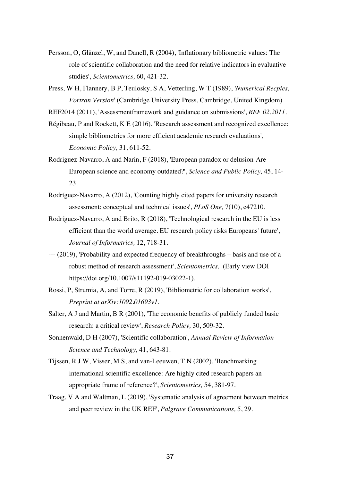- Persson, O, Glänzel, W, and Danell, R (2004), 'Inflationary bibliometric values: The role of scientific collaboration and the need for relative indicators in evaluative studies', *Scientometrics,* 60, 421-32.
- Press, W H, Flannery, B P, Teulosky, S A, Vetterling, W T (1989), *'Numerical Recpies, Fortran Version*' (Cambridge University Press, Cambridge, United Kingdom)

REF2014 (2011), 'Assessmentframework and guidance on submissions', *REF 02.2011*.

- Régibeau, P and Rockett, K E (2016), 'Research assessment and recognized excellence: simple bibliometrics for more efficient academic research evaluations', *Economic Policy,* 31, 611-52.
- Rodriguez-Navarro, A and Narin, F (2018), 'European paradox or delusion-Are European science and economy outdated?', *Science and Public Policy,* 45, 14- 23.
- Rodríguez-Navarro, A (2012), 'Counting highly cited papers for university research assessment: conceptual and technical issues', *PLoS One,* 7(10), e47210.
- Rodríguez-Navarro, A and Brito, R (2018), 'Technological research in the EU is less efficient than the world average. EU research policy risks Europeans' future', *Journal of Informetrics,* 12, 718-31.
- --- (2019), 'Probability and expected frequency of breakthroughs basis and use of a robust method of research assessment', *Scientometrics,* (Early view DOI https://doi.org/10.1007/s11192-019-03022-1).
- Rossi, P, Strumia, A, and Torre, R (2019), 'Bibliometric for collaboration works', *Preprint at arXiv:1092.01693v1*.
- Salter, A J and Martin, B R (2001), 'The economic benefits of publicly funded basic research: a critical review', *Research Policy,* 30, 509-32.
- Sonnenwald, D H (2007), 'Scientific collaboration', *Annual Review of Information Science and Technology,* 41, 643-81.
- Tijssen, R J W, Visser, M S, and van-Leeuwen, T N (2002), 'Benchmarking international scientific excellence: Are highly cited research papers an appropriate frame of reference?', *Scientometrics,* 54, 381-97.
- Traag, V A and Waltman, L (2019), 'Systematic analysis of agreement between metrics and peer review in the UK REF', *Palgrave Communications,* 5, 29.